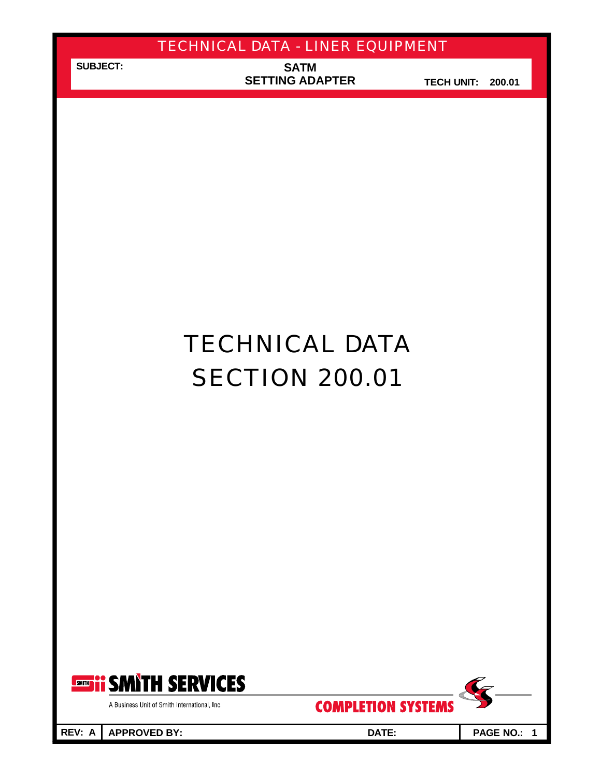**SUBJECT:**

**SATM SETTING ADAPTER**

**TECH UNIT: 200.01**

# TECHNICAL DATA **SECTION 200.01**



A Business Unit of Smith International, Inc.

**REV: A APPROVED BY: DATE: PAGE NO.: 1**

**COMPLETION SYSTEMS** 

 $\overline{\mathscr{L}}$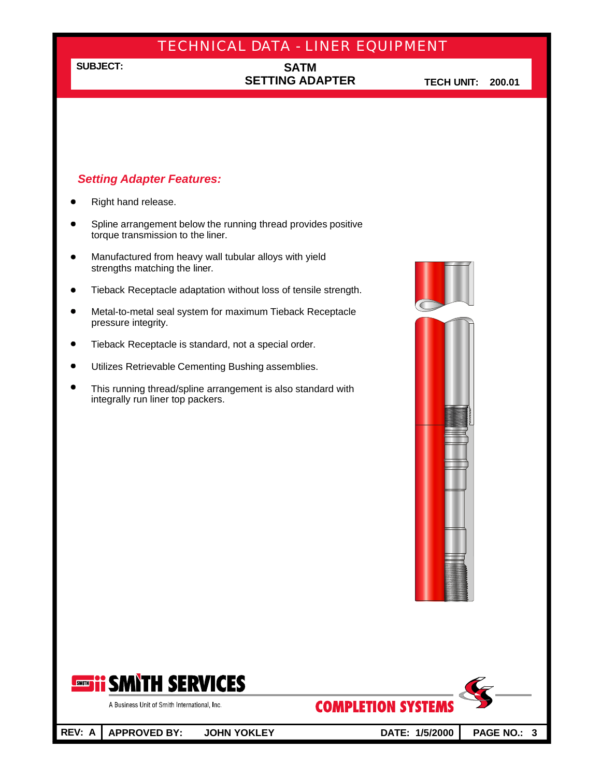## **SUBJECT:**

## **SATM SETTING ADAPTER**

**TECH UNIT: 200.01**

## *Setting Adapter Features:*

- Right hand release.
- Spline arrangement below the running thread provides positive  $\bullet$ torque transmission to the liner.
- Manufactured from heavy wall tubular alloys with yield strengths matching the liner.
- Tieback Receptacle adaptation without loss of tensile strength.  $\bullet$
- $\bullet$ Metal-to-metal seal system for maximum Tieback Receptacle pressure integrity.
- $\bullet$ Tieback Receptacle is standard, not a special order.
- Utilizes Retrievable Cementing Bushing assemblies.  $\bullet$
- This running thread/spline arrangement is also standard with  $\bullet$ integrally run liner top packers.







A Business Unit of Smith International, Inc.

**REV: A APPROVED BY: JOHN YOKLEY DATE: 1/5/2000 PAGE NO.: 3**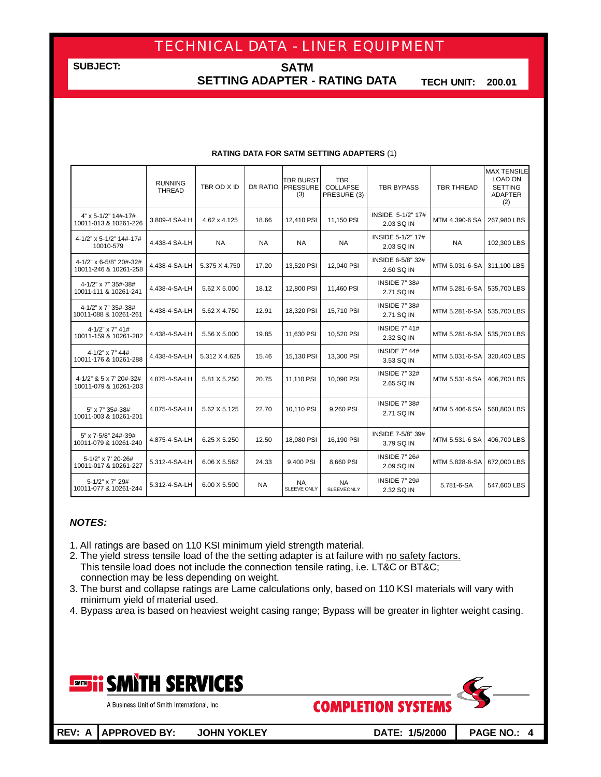**SUBJECT:**

**SATM SETTING ADAPTER - RATING DATA**

**TECH UNIT: 200.01**

|                                                   | <b>RUNNING</b><br>THREAD | TBR OD X ID   | D/t RATIO | <b>TBR BURST</b><br><b>PRESSURE</b><br>(3) | <b>TBR</b><br><b>COLLAPSE</b><br>PRESURE (3) | <b>TBR BYPASS</b>                                    | <b>TBR THREAD</b> | <b>MAX TENSILE</b><br><b>LOAD ON</b><br><b>SETTING</b><br><b>ADAPTER</b><br>(2) |
|---------------------------------------------------|--------------------------|---------------|-----------|--------------------------------------------|----------------------------------------------|------------------------------------------------------|-------------------|---------------------------------------------------------------------------------|
| 4" x 5-1/2" 14#-17#<br>10011-013 & 10261-226      | 3.809-4 SA-LH            | 4.62 x 4.125  | 18.66     | 12,410 PSI                                 | 11,150 PSI                                   | INSIDE 5-1/2" 17#<br>2.03 SQ IN                      | MTM 4.390-6 SA    | 267,980 LBS                                                                     |
| 4-1/2" x 5-1/2" 14#-17#<br>10010-579              | 4.438-4 SA-LH            | <b>NA</b>     | <b>NA</b> | <b>NA</b>                                  | <b>NA</b>                                    | INSIDE 5-1/2" 17#<br>2.03 SQ IN                      | <b>NA</b>         | 102,300 LBS                                                                     |
| 4-1/2" x 6-5/8" 20#-32#<br>10011-246 & 10261-258  | 4.438-4-SA-LH            | 5.375 X 4.750 | 17.20     | 13,520 PSI                                 | 12,040 PSI                                   | INSIDE 6-5/8" 32#<br>2.60 SQ IN                      | MTM 5.031-6-SA    | 311,100 LBS                                                                     |
| 4-1/2" x 7" 35#-38#<br>10011-111 & 10261-241      | 4.438-4-SA-LH            | 5.62 X 5.000  | 18.12     | 12,800 PSI                                 | 11,460 PSI                                   | <b>INSIDE 7" 38#</b><br>2.71 SQ IN                   | MTM 5.281-6-SA    | 535,700 LBS                                                                     |
| 4-1/2" x 7" 35#-38#<br>10011-088 & 10261-261      | 4.438-4-SA-LH            | 5.62 X 4.750  | 12.91     | 18,320 PSI                                 | 15,710 PSI                                   | <b>INSIDE 7" 38#</b><br>2.71 SQ IN                   | MTM 5.281-6-SA    | 535,700 LBS                                                                     |
| $4 - 1/2" \times 7" 41#$<br>10011-159 & 10261-282 | 4.438-4-SA-LH            | 5.56 X 5.000  | 19.85     | 11,630 PSI                                 | 10,520 PSI                                   | <b>INSIDE 7" 41#</b><br>MTM 5.281-6-SA<br>2.32 SQ IN |                   | 535,700 LBS                                                                     |
| $4 - 1/2" \times 7" 44#$<br>10011-176 & 10261-288 | 4.438-4-SA-LH            | 5.312 X 4.625 | 15.46     | 15,130 PSI                                 | 13,300 PSI                                   | <b>INSIDE 7" 44#</b><br>MTM 5.031-6-SA<br>3.53 SQ IN |                   | 320,400 LBS                                                                     |
| 4-1/2" & 5 x 7' 20#-32#<br>10011-079 & 10261-203  | 4.875-4-SA-LH            | 5.81 X 5.250  | 20.75     | 11,110 PSI                                 | 10,090 PSI                                   | <b>INSIDE 7" 32#</b><br>2.65 SQ IN                   | MTM 5.531-6 SA    | 406,700 LBS                                                                     |
| 5" x 7" 35#-38#<br>10011-003 & 10261-201          | 4.875-4-SA-LH            | 5.62 X 5.125  | 22.70     | 10.110 PSI                                 | 9,260 PSI                                    | <b>INSIDE 7" 38#</b><br>2.71 SQ IN                   | MTM 5.406-6 SA    | 568,800 LBS                                                                     |
| 5" x 7-5/8" 24#-39#<br>10011-079 & 10261-240      | 4.875-4-SA-LH            | 6.25 X 5.250  | 12.50     | 18,980 PSI                                 | 16,190 PSI                                   | INSIDE 7-5/8" 39#<br>3.79 SQ IN                      | MTM 5.531-6 SA    | 406,700 LBS                                                                     |
| 5-1/2" x 7' 20-26#<br>10011-017 & 10261-227       | 5.312-4-SA-LH            | 6.06 X 5.562  | 24.33     | 9,400 PSI                                  | 8,660 PSI                                    | <b>INSIDE 7" 26#</b><br>MTM 5.828-6-SA<br>2.09 SQ IN |                   | 672,000 LBS                                                                     |
| 5-1/2" x 7" 29#<br>10011-077 & 10261-244          | 5.312-4-SA-LH            | 6.00 X 5.500  | <b>NA</b> | NA<br>SLEEVE ONLY                          | <b>NA</b><br><b>SLEEVEONLY</b>               | <b>INSIDE 7" 29#</b><br>2.32 SQ IN                   | 5.781-6-SA        | 547,600 LBS                                                                     |

#### **RATING DATA FOR SATM SETTING ADAPTERS** (1)

### *NOTES:*

- 1. All ratings are based on 110 KSI minimum yield strength material.
- 2. The yield stress tensile load of the the setting adapter is at failure with no safety factors. This tensile load does not include the connection tensile rating, i.e. LT&C or BT&C; connection may be less depending on weight.
- 3. The burst and collapse ratings are Lame calculations only, based on 110 KSI materials will vary with minimum yield of material used.
- 4. Bypass area is based on heaviest weight casing range; Bypass will be greater in lighter weight casing.

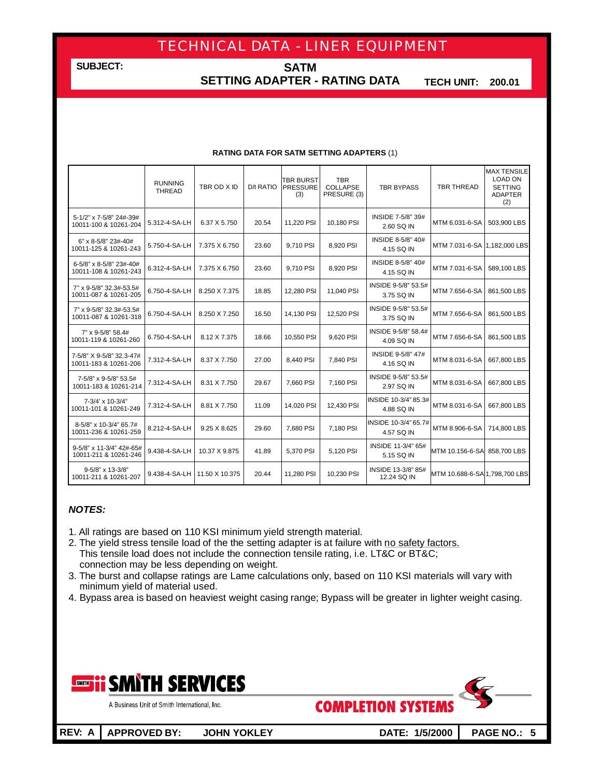**SUBJECT:**

**SATM SETTING ADAPTER - RATING DATA**

**TECH UNIT: 200.01**

#### **RATING DATA FOR SATM SETTING ADAPTERS** (1)

|                                                   | <b>RUNNING</b><br><b>THREAD</b> | TBR OD X ID    | D/t RATIO | <b>TBR BURST</b><br><b>PRESSURE</b><br>(3) | <b>TBR</b><br><b>COLLAPSE</b><br>PRESURE (3) | <b>TBR BYPASS</b>                      | <b>TBR THREAD</b>             | <b>MAX TENSILE</b><br><b>LOAD ON</b><br><b>SETTING</b><br><b>ADAPTER</b><br>(2) |
|---------------------------------------------------|---------------------------------|----------------|-----------|--------------------------------------------|----------------------------------------------|----------------------------------------|-------------------------------|---------------------------------------------------------------------------------|
| 5-1/2" x 7-5/8" 24#-39#<br>10011-100 & 10261-204  | 5.312-4-SA-LH                   | 6.37 X 5.750   | 20.54     | 11,220 PSI                                 | 10,180 PSI                                   | INSIDE 7-5/8" 39#<br>2.60 SQ IN        | MTM 6.031-6-SA                | 503,900 LBS                                                                     |
| 6" x 8-5/8" 23#-40#<br>10011-125 & 10261-243      | 5.750-4-SA-LH                   | 7.375 X 6.750  | 23.60     | 9,710 PSI                                  | 8,920 PSI                                    | <b>INSIDE 8-5/8" 40#</b><br>4.15 SQ IN | MTM 7.031-6-SA 1,182,000 LBS  |                                                                                 |
| 6-5/8" x 8-5/8" 23#-40#<br>10011-108 & 10261-243  | 6.312-4-SA-LH                   | 7.375 X 6.750  | 23.60     | 9.710 PSI                                  | 8,920 PSI                                    | INSIDE 8-5/8" 40#<br>4.15 SQ IN        | MTM 7.031-6-SA                | 589,100 LBS                                                                     |
| 7" x 9-5/8" 32.3#-53.5#<br>10011-087 & 10261-205  | 6.750-4-SA-LH                   | 8.250 X 7.375  | 18.85     | 12,280 PSI                                 | 11,040 PSI                                   | INSIDE 9-5/8" 53.5#<br>3.75 SQ IN      | MTM 7.656-6-SA                | 861,500 LBS                                                                     |
| 7" x 9-5/8" 32.3#-53.5#<br>10011-087 & 10261-318  | 6.750-4-SA-LH                   | 8.250 X 7.250  | 16.50     | 14,130 PSI                                 | 12,520 PSI                                   | INSIDE 9-5/8" 53.5#<br>3.75 SQ IN      | MTM 7.656-6-SA                | 861,500 LBS                                                                     |
| 7" x 9-5/8" 58.4#<br>10011-119 & 10261-260        | 6.750-4-SA-LH                   | 8.12 X 7.375   | 18.66     | 10,550 PSI                                 | 9.620 PSI                                    | INSIDE 9-5/8" 58.4#<br>4.09 SQ IN      | MTM 7.656-6-SA                | 861,500 LBS                                                                     |
| 7-5/8" X 9-5/8" 32.3-47#<br>10011-183 & 10261-206 | 7.312-4-SA-LH                   | 8.37 X 7.750   | 27.00     | 8,440 PSI                                  | 7,840 PSI                                    | INSIDE 9-5/8" 47#<br>4.16 SQ IN        | MTM 8.031-6-SA                | 667,800 LBS                                                                     |
| 7-5/8" x 9-5/8" 53.5#<br>10011-183 & 10261-214    | 7.312-4-SA-LH                   | 8.31 X 7.750   | 29.67     | 7.660 PSI                                  | 7,160 PSI                                    | INSIDE 9-5/8" 53.5#<br>2.97 SQ IN      | MTM 8.031-6-SA                | 667,800 LBS                                                                     |
| 7-3/4' x 10-3/4"<br>10011-101 & 10261-249         | 7.312-4-SA-LH                   | 8.81 X 7.750   | 11.09     | 14,020 PSI                                 | 12,430 PSI                                   | INSIDE 10-3/4" 85.3#<br>4.88 SQ IN     | MTM 8.031-6-SA                | 667,800 LBS                                                                     |
| 8-5/8" x 10-3/4" 65.7#<br>10011-236 & 10261-259   | 8.212-4-SA-LH                   | 9.25 X 8.625   | 29.60     | 7.680 PSI                                  | 7.180 PSI                                    | INSIDE 10-3/4" 65.7#<br>4.57 SQ IN     | MTM 8.906-6-SA                | 714,800 LBS                                                                     |
| 9-5/8" x 11-3/4" 42#-65#<br>10011-211 & 10261-246 | 9.438-4-SA-LH                   | 10.37 X 9.875  | 41.89     | 5,370 PSI                                  | 5,120 PSI                                    | INSIDE 11-3/4" 65#<br>5.15 SQ IN       | MTM 10.156-6-SA               | 858,700 LBS                                                                     |
| 9-5/8" x 13-3/8"<br>10011-211 & 10261-207         | 9.438-4-SA-LH                   | 11.50 X 10.375 | 20.44     | 11.280 PSI                                 | 10.230 PSI                                   | INSIDE 13-3/8" 85#<br>12.24 SQ IN      | MTM 10.688-6-SA 1,798,700 LBS |                                                                                 |

### *NOTES:*

- 1. All ratings are based on 110 KSI minimum yield strength material.
- 2. The yield stress tensile load of the the setting adapter is at failure with no safety factors. This tensile load does not include the connection tensile rating, i.e. LT&C or BT&C; connection may be less depending on weight.
- 3. The burst and collapse ratings are Lame calculations only, based on 110 KSI materials will vary with minimum yield of material used.
- 4. Bypass area is based on heaviest weight casing range; Bypass will be greater in lighter weight casing.

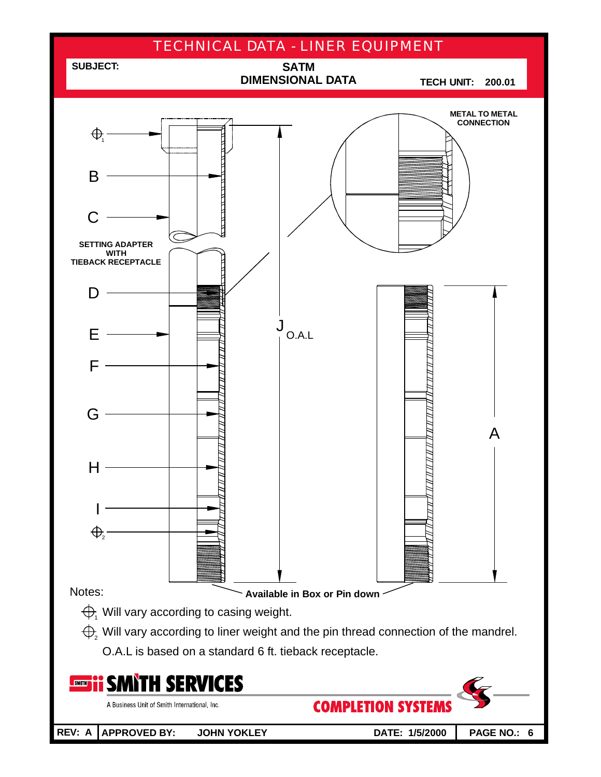